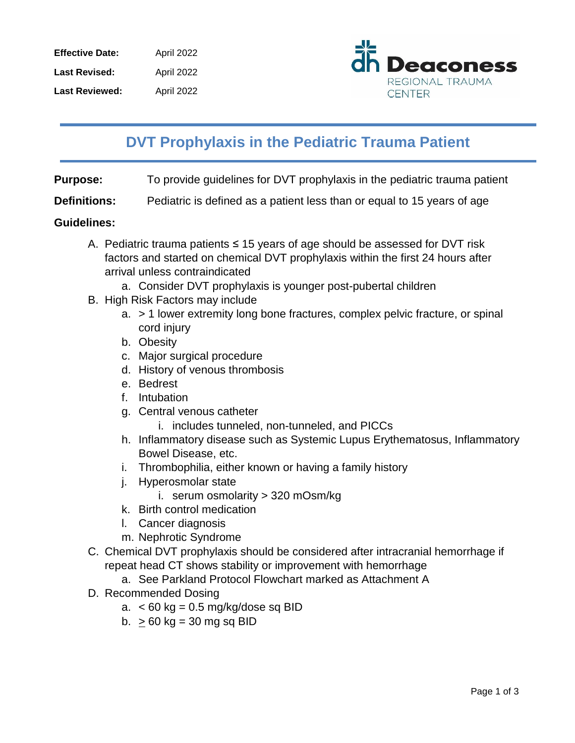| <b>Effective Date:</b> | April 2022 |
|------------------------|------------|
| <b>Last Revised:</b>   | April 2022 |
| <b>Last Reviewed:</b>  | April 2022 |



## **DVT Prophylaxis in the Pediatric Trauma Patient**

**Purpose:** To provide guidelines for DVT prophylaxis in the pediatric trauma patient

**Definitions:** Pediatric is defined as a patient less than or equal to 15 years of age

## **Guidelines:**

- A. Pediatric trauma patients ≤ 15 years of age should be assessed for DVT risk factors and started on chemical DVT prophylaxis within the first 24 hours after arrival unless contraindicated
	- a. Consider DVT prophylaxis is younger post-pubertal children
- B. High Risk Factors may include
	- a. > 1 lower extremity long bone fractures, complex pelvic fracture, or spinal cord injury
	- b. Obesity
	- c. Major surgical procedure
	- d. History of venous thrombosis
	- e. Bedrest
	- f. Intubation
	- g. Central venous catheter
		- i. includes tunneled, non-tunneled, and PICCs
	- h. Inflammatory disease such as Systemic Lupus Erythematosus, Inflammatory Bowel Disease, etc.
	- i. Thrombophilia, either known or having a family history
	- j. Hyperosmolar state
		- i. serum osmolarity > 320 mOsm/kg
	- k. Birth control medication
	- l. Cancer diagnosis
	- m. Nephrotic Syndrome
- C. Chemical DVT prophylaxis should be considered after intracranial hemorrhage if repeat head CT shows stability or improvement with hemorrhage
	- a. See Parkland Protocol Flowchart marked as Attachment A
- D. Recommended Dosing
	- a.  $<$  60 kg = 0.5 mg/kg/dose sq BID
	- b.  $\geq 60$  kg = 30 mg sq BID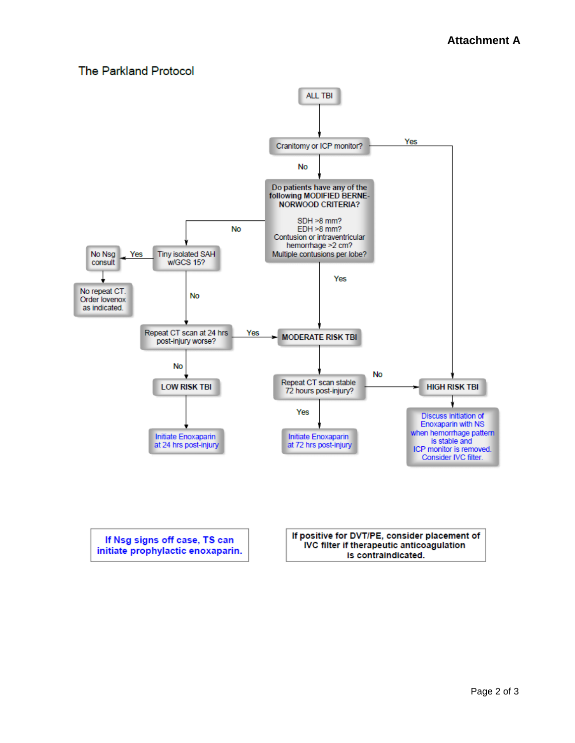## **The Parkland Protocol**



If Nsg signs off case, TS can initiate prophylactic enoxaparin. If positive for DVT/PE, consider placement of IVC filter if therapeutic anticoagulation is contraindicated.